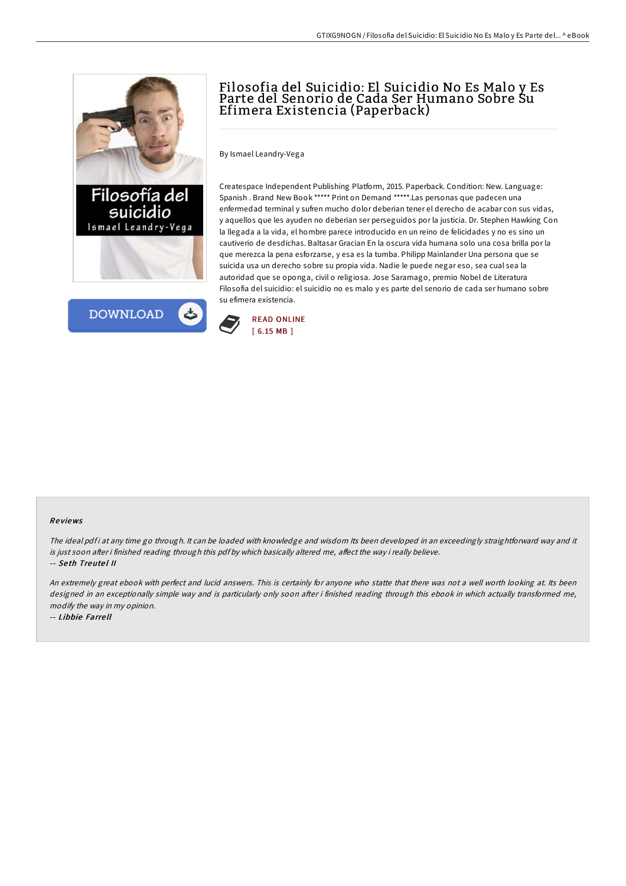



# Filosofia del Suicidio: El Suicidio No Es Malo y Es Parte del Senorio de Cada Ser Humano Sobre Su Efimera Existencia (Paperback)

By Ismael Leandry-Vega

Createspace Independent Publishing Platform, 2015. Paperback. Condition: New. Language: Spanish . Brand New Book \*\*\*\*\* Print on Demand \*\*\*\*\*.Las personas que padecen una enfermedad terminal y sufren mucho dolor deberian tener el derecho de acabar con sus vidas, y aquellos que les ayuden no deberian ser perseguidos por la justicia. Dr. Stephen Hawking Con la llegada a la vida, el hombre parece introducido en un reino de felicidades y no es sino un cautiverio de desdichas. Baltasar Gracian En la oscura vida humana solo una cosa brilla por la que merezca la pena esforzarse, y esa es la tumba. Philipp Mainlander Una persona que se suicida usa un derecho sobre su propia vida. Nadie le puede negar eso, sea cual sea la autoridad que se oponga, civil o religiosa. Jose Saramago, premio Nobel de Literatura Filosofia del suicidio: el suicidio no es malo y es parte del senorio de cada ser humano sobre su efimera existencia.



### Re views

The ideal pdfi at any time go through. It can be loaded with knowledge and wisdom Its been developed in an exceedingly straightforward way and it is just soon after i finished reading through this pdf by which basically altered me, affect the way i really believe. -- Seth Treutel II

An extremely great ebook with perfect and lucid answers. This is certainly for anyone who statte that there was not <sup>a</sup> well worth looking at. Its been designed in an exceptionally simple way and is particularly only soon after i finished reading through this ebook in which actually transformed me, modify the way in my opinion.

-- Libbie Farre ll